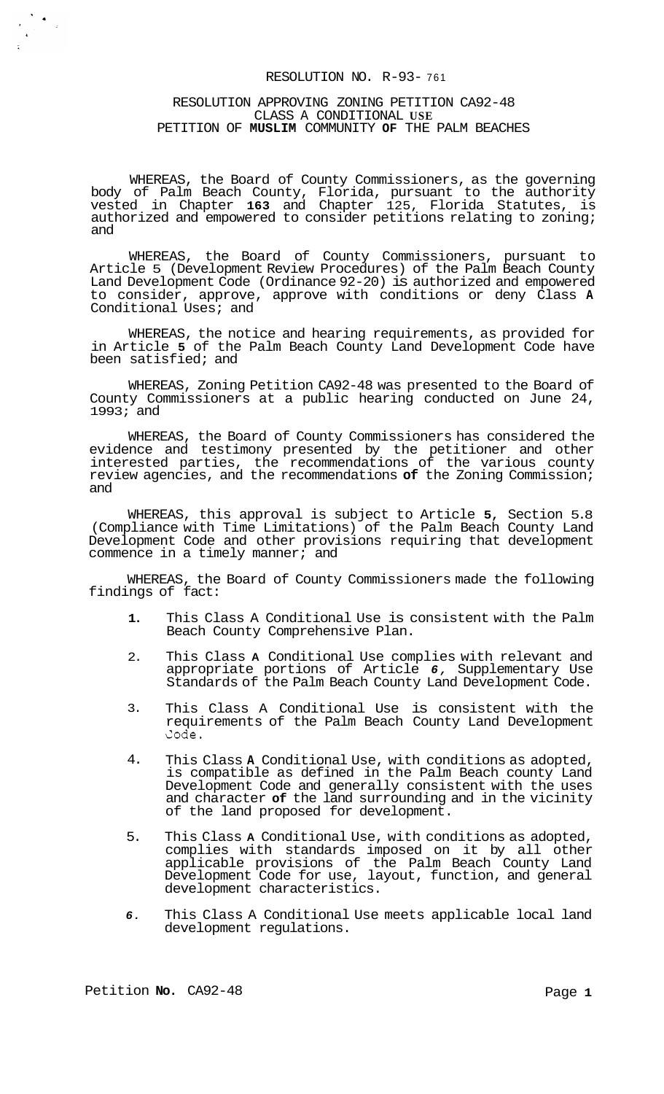## RESOLUTION NO. R-93- <sup>761</sup>

#### RESOLUTION APPROVING ZONING PETITION CA92-48 CLASS A CONDITIONAL **USE**  PETITION OF **MUSLIM** COMMUNITY **OF** THE PALM BEACHES

WHEREAS, the Board of County Commissioners, as the governing body of Palm Beach County, Florida, pursuant to the authority vested in Chapter **163** and Chapter 125, Florida Statutes, is authorized and empowered to consider petitions relating to zoning; and

WHEREAS, the Board of County Commissioners, pursuant to Article 5 (Development Review Procedures) of the Palm Beach County Land Development Code (Ordinance 92-20) is authorized and empowered to consider, approve, approve with conditions or deny Class **A**  Conditional Uses; and

WHEREAS, the notice and hearing requirements, as provided for in Article **5** of the Palm Beach County Land Development Code have been satisfied; and

WHEREAS, Zoning Petition CA92-48 was presented to the Board of County Commissioners at a public hearing conducted on June 24, 1993; and

WHEREAS, the Board of County Commissioners has considered the evidence and testimony presented by the petitioner and other interested parties, the recommendations of the various county review agencies, and the recommendations **of** the Zoning Commission; and

WHEREAS, this approval is subject to Article **5,** Section 5.8 (Compliance with Time Limitations) of the Palm Beach County Land Development Code and other provisions requiring that development commence in a timely manner; and

WHEREAS, the Board of County Commissioners made the following findings of fact:

- **1.**  This Class A Conditional Use is consistent with the Palm Beach County Comprehensive Plan.
- 2. This Class **A** Conditional Use complies with relevant and appropriate portions of Article *6,* Supplementary Use Standards of the Palm Beach County Land Development Code.
- 3. This Class A Conditional Use is consistent with the requirements of the Palm Beach County Land Development Code.
- 4. This Class **A** Conditional Use, with conditions as adopted, is compatible as defined in the Palm Beach county Land Development Code and generally consistent with the uses and character **of** the land surrounding and in the vicinity of the land proposed for development.
- 5. This Class **A** Conditional Use, with conditions as adopted, complies with standards imposed on it by all other applicable provisions of the Palm Beach County Land Development Code for use, layout, function, and general development characteristics.
- *6.*  This Class A Conditional Use meets applicable local land development regulations.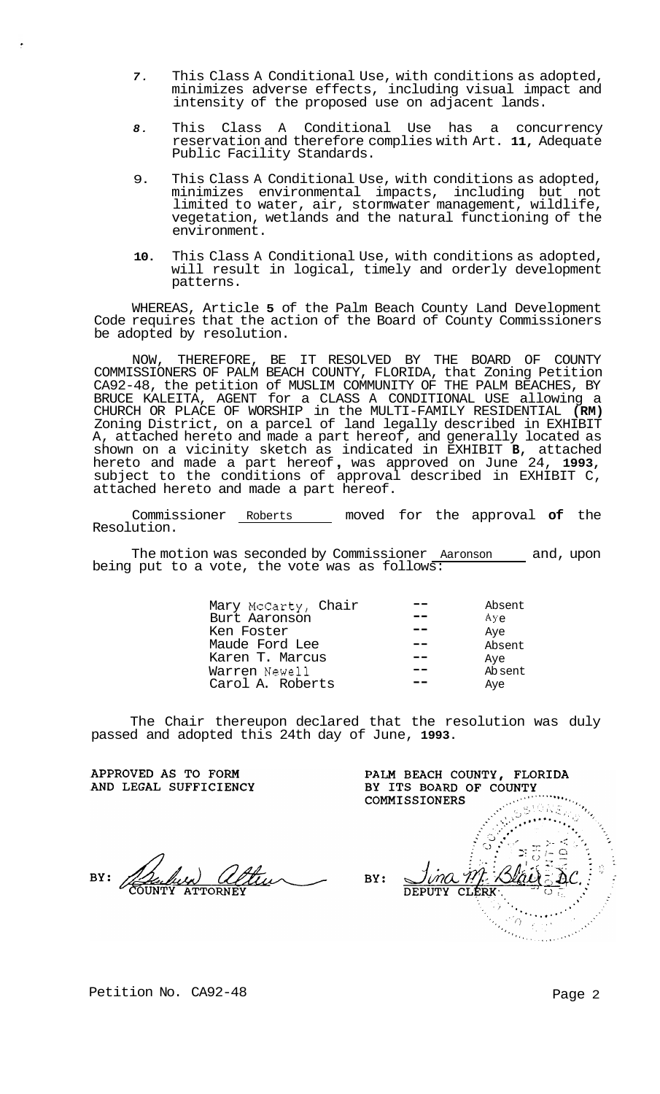- *7.*  This Class A Conditional Use, with conditions as adopted, minimizes adverse effects, including visual impact and intensity of the proposed use on adjacent lands.
- *8.*  This Class A Conditional Use has a concurrency reservation and therefore complies with Art. **11,** Adequate Public Facility Standards.
- 9. This Class A Conditional Use, with conditions as adopted, minimizes environmental impacts, including but not limited to water, air, stormwater management, wildlife, vegetation, wetlands and the natural functioning of the environment.
- **10.**  This Class A Conditional Use, with conditions as adopted, will result in logical, timely and orderly development patterns.

WHEREAS, Article **5** of the Palm Beach County Land Development Code requires that the action of the Board of County Commissioners be adopted by resolution.

NOW, THEREFORE, BE IT RESOLVED BY THE BOARD OF COUNTY COMMISSIONERS OF PALM BEACH COUNTY, FLORIDA, that Zoning Petition CA92-48, the petition of MUSLIM COMMUNITY OF THE PALM BEACHES, BY BRUCE KALEITA, AGENT for a CLASS A CONDITIONAL USE allowing a CHURCH OR PLACE OF WORSHIP in the MULTI-FAMILY RESIDENTIAL **(RM)**  Zoning District, on a parcel of land legally described in EXHIBIT A, attached hereto and made a part hereof, and generally located as shown on a vicinity sketch as indicated in EXHIBIT **B,** attached hereto and made a part hereof , was approved on June 24, **1993,**  subject to the conditions of approval described in EXHIBIT C, attached hereto and made a part hereof.

Commissioner Roberts moved for the approval **of** the Resolution.

The motion was seconded by Commissioner Aaronson and, upon being put to a vote, the vote was as follows:

| Mary McCarty, Chair | Absent        |
|---------------------|---------------|
| Burt Aaronson       | $Ay_{\Theta}$ |
| Ken Foster          | Aye           |
| Maude Ford Lee      | Absent        |
| Karen T. Marcus     | Aye           |
| Warren Newell       | Absent        |
| Carol A. Roberts    | Aye           |

The Chair thereupon declared that the resolution was duly passed and adopted this 24th day of June, **1993.** 

APPROVED AS TO FORM AND LEGAL SUFFICIENCY

PALM BEACH COUNTY, FLORIDA BY ITS BOARD OF COUNTY  $\frac{1}{2}$ COMMISSIONERS ANG SIDA<br>Maritim<br>Maritimo a <sub>ili</sub>y BY: **DEPUTY CLERK** ÜΔ  $\mathbb{Z}_Q$  $\gamma$  ,  $\gamma$  ,  $\gamma$  ,  $\lambda$ 

Petition No. CA92-48 Page 2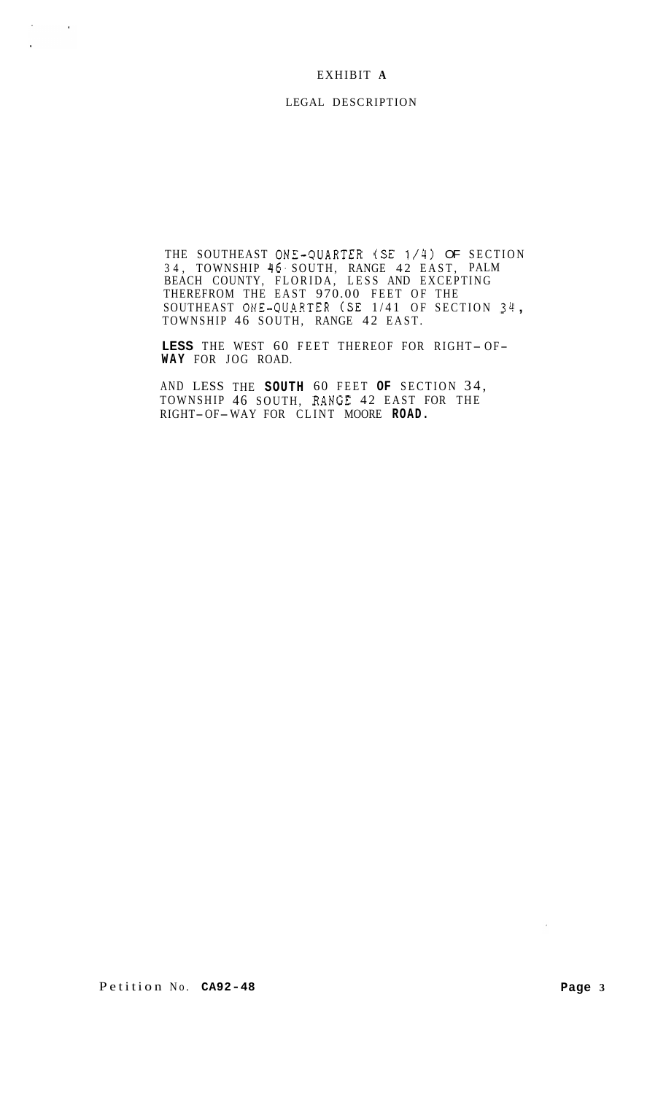# EXHIBIT **A**

 $\sigma_{\rm{max}}=0.001$ 

 $\ddot{\phantom{0}}$ 

#### LEGAL DESCRIPTION

THE SOUTHEAST ONE-3UARTER (SE 1/4) OF SECTION 34, TOWNSHIP 46. SOUTH, RANGE 42 EAST, PALM BEACH COUNTY, FLORIDA, LESS AND EXCEPTING THEREFROM THE EAST 970.00 FEET OF THE<br>SOUTHEAST ONE-QUARTER (SE 1/41 OF SECTION 34,<br>TOWNSHIP 46 SOUTH, RANGE 42 EAST.

LESS THE WEST 60 FEET THEREOF FOR RIGHT-OF-**WAY** FOR JOG ROAD.

AND LESS THE **SOUTH** 60 FEET **OF** SECTION 34, TOWNSHIP 46 SOUTH, RANGE 42 EAST FOR THE RIGHT-OF-WAY FOR CLINT MOORE **ROAD.** 

 $\sim 10^{-1}$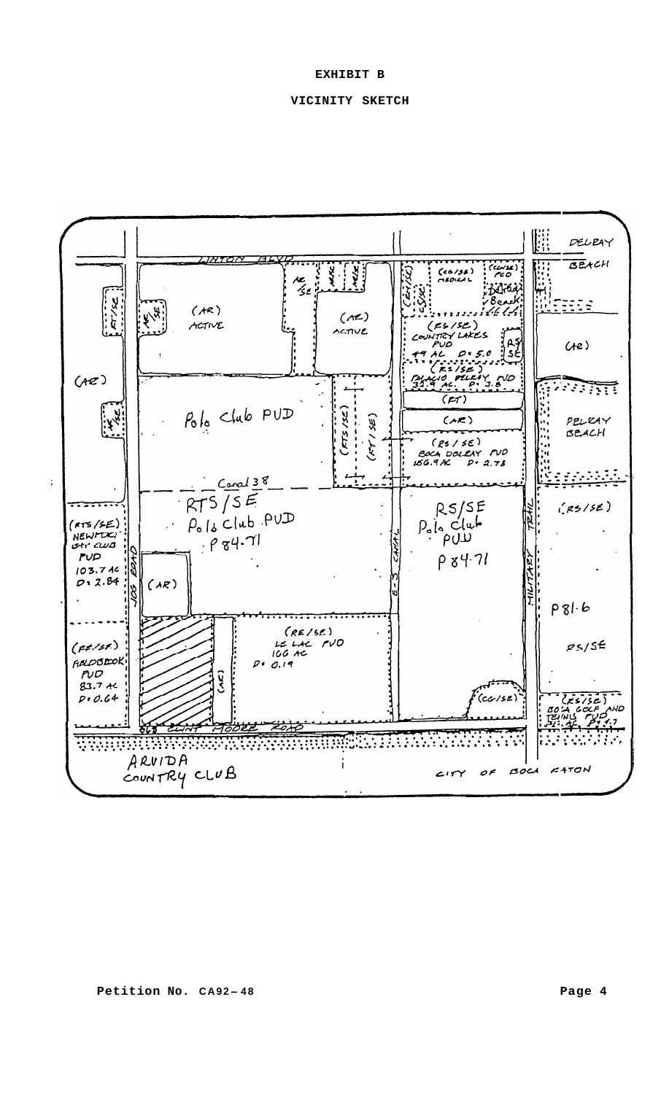### **EXHIBIT B**

## **VICINITY SKETCH**

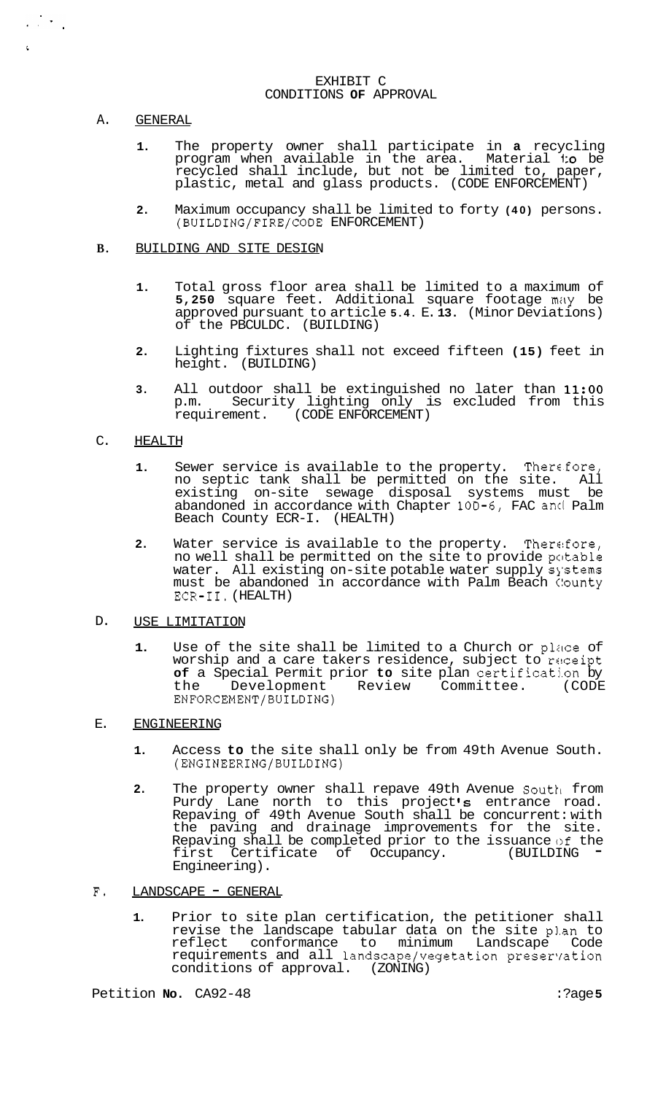#### EXHIBIT C CONDITIONS **OF** APPROVAL

#### A. GENERAL

 $\frac{1}{2}$  ,  $\frac{1}{2}$  ,  $\frac{1}{2}$ 

- **1.** The property owner shall participate in **a** recycling program when available in the area. Material **to** be recycled shall include, but not be limited to, paper, plastic, metal and glass products. (CODE ENFORCEMENT)
- **2.** Maximum occupancy shall be limited to forty **(40)** persons. (BUILDING/FIRE/CODE ENFORCEMENT)

#### **B.**  BUILDING AND SITE DESIGN

- **1.** Total gross floor area shall be limited to a maximum of **5,250** square feet. Additional square footage mily be approved pursuant to article **5.4.** E. **13.** (Minor Deviations) of the PBCULDC. (BUILDING)
- **2.** Lighting fixtures shall not exceed fifteen **(15)** feet in height. (BUILDING)
- **3.** All outdoor shall be extinguished no later than **11:OO**  p.m. Security lighting only is excluded from this requirement. (CODE ENFORCEMENT)

#### C. HEALTH

- **1.** Sewer service is available to the property. Thercfore, no septic tank shall be permitted on the site. All existing on-site sewage disposal systems must be abandoned in accordance with Chapter **10D-6,** FAC ancl Palm Beach County ECR-I. (HEALTH)
- **2.** Water service is available to the property. Therefore, no well shall be permitted on the site to provide potable water. All existing on-site potable water supply systems must be abandoned in accordance with Palm Beach C!ounty ECR-11. (HEALTH)
- D. USE LIMITATION
	- 1. Use of the site shall be limited to a Church or place of worship and a care takers residence, subject to receipt **of** a Special Permit prior **to** site plan certification by Review Committee. ENFORCEMENT/BUILDING)

#### E. ENGINEERING

- **1.** Access **to** the site shall only be from 49th Avenue South. (ENGINEERING/BUILDING)
- **2.** The property owner shall repave 49th Avenue South from Purdy Lane north to this project **Is** entrance road. Repaving of 49th Avenue South shall be concurrent: with the paving and drainage improvements for the site. Repaving shall be completed prior to the issuance of the first Certificate of Occupancy. (BUILDING Engineering).
- F. LANDSCAPE GENERAL
	- **1.** Prior to site plan certification, the petitioner shall revise the landscape tabular data on the site pl.an to reflect conformance to minimum Landscape Code requirements and all landscape/vegetation preservation conditions of approval. (ZONING)